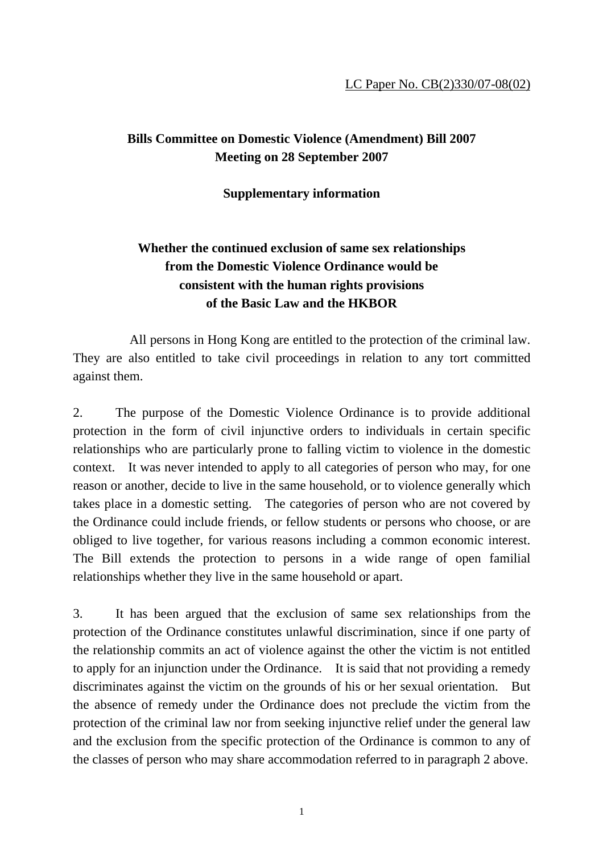## **Bills Committee on Domestic Violence (Amendment) Bill 2007 Meeting on 28 September 2007**

## **Supplementary information**

## **Whether the continued exclusion of same sex relationships from the Domestic Violence Ordinance would be consistent with the human rights provisions of the Basic Law and the HKBOR**

 All persons in Hong Kong are entitled to the protection of the criminal law. They are also entitled to take civil proceedings in relation to any tort committed against them.

2. The purpose of the Domestic Violence Ordinance is to provide additional protection in the form of civil injunctive orders to individuals in certain specific relationships who are particularly prone to falling victim to violence in the domestic context. It was never intended to apply to all categories of person who may, for one reason or another, decide to live in the same household, or to violence generally which takes place in a domestic setting. The categories of person who are not covered by the Ordinance could include friends, or fellow students or persons who choose, or are obliged to live together, for various reasons including a common economic interest. The Bill extends the protection to persons in a wide range of open familial relationships whether they live in the same household or apart.

3. It has been argued that the exclusion of same sex relationships from the protection of the Ordinance constitutes unlawful discrimination, since if one party of the relationship commits an act of violence against the other the victim is not entitled to apply for an injunction under the Ordinance. It is said that not providing a remedy discriminates against the victim on the grounds of his or her sexual orientation. But the absence of remedy under the Ordinance does not preclude the victim from the protection of the criminal law nor from seeking injunctive relief under the general law and the exclusion from the specific protection of the Ordinance is common to any of the classes of person who may share accommodation referred to in paragraph 2 above.